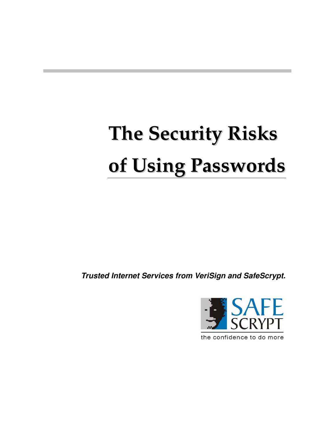# **The Security Risks of Using Passwords**

*Trusted Internet Services from VeriSign and SafeScrypt.*



the confidence to do more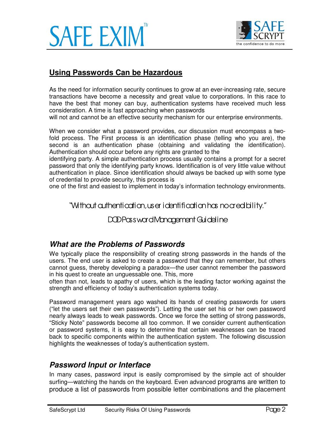



## **Using Passwords Can be Hazardous**

As the need for information security continues to grow at an ever-increasing rate, secure transactions have become a necessity and great value to corporations. In this race to have the best that money can buy, authentication systems have received much less consideration. A time is fast approaching when passwords

will not and cannot be an effective security mechanism for our enterprise environments.

When we consider what a password provides, our discussion must encompass a twofold process. The First process is an identification phase (telling who you are), the second is an authentication phase (obtaining and validating the identification). Authentication should occur before any rights are granted to the

identifying party. A simple authentication process usually contains a prompt for a secret password that only the identifying party knows. Identification is of very little value without authentication in place. Since identification should always be backed up with some type of credential to provide security, this process is

one of the first and easiest to implement in today's information technology environments.

"Without authentication, user identification has no credibility."

DOD Password Management Guideline

#### *What are the Problems of Passwords*

We typically place the responsibility of creating strong passwords in the hands of the users. The end user is asked to create a password that they can remember, but others cannot guess, thereby developing a paradox—the user cannot remember the password in his quest to create an unguessable one. This, more

often than not, leads to apathy of users, which is the leading factor working against the strength and efficiency of today's authentication systems today.

Password management years ago washed its hands of creating passwords for users ("let the users set their own passwords"). Letting the user set his or her own password nearly always leads to weak passwords. Once we force the setting of strong passwords, "Sticky Note" passwords become all too common. If we consider current authentication or password systems, it is easy to determine that certain weaknesses can be traced back to specific components within the authentication system. The following discussion highlights the weaknesses of today's authentication system.

#### *Password Input or Interface*

In many cases, password input is easily compromised by the simple act of shoulder surfing—watching the hands on the keyboard. Even advanced programs are written to produce a list of passwords from possible letter combinations and the placement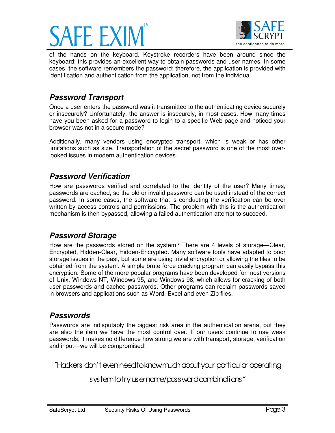



of the hands on the keyboard. Keystroke recorders have been around since the keyboard; this provides an excellent way to obtain passwords and user names. In some cases, the software remembers the password; therefore, the application is provided with identification and authentication from the application, not from the individual.

# *Password Transport*

Once a user enters the password was it transmitted to the authenticating device securely or insecurely? Unfortunately, the answer is insecurely, in most cases. How many times have you been asked for a password to login to a specific Web page and noticed your browser was not in a secure mode?

Additionally, many vendors using encrypted transport, which is weak or has other limitations such as size. Transportation of the secret password is one of the most overlooked issues in modern authentication devices.

#### *Password Verification*

How are passwords verified and correlated to the identity of the user? Many times, passwords are cached, so the old or invalid password can be used instead of the correct password. In some cases, the software that is conducting the verification can be over written by access controls and permissions. The problem with this is the authentication mechanism is then bypassed, allowing a failed authentication attempt to succeed.

#### *Password Storage*

How are the passwords stored on the system? There are 4 levels of storage— Clear, Encrypted, Hidden-Clear, Hidden-Encrypted. Many software tools have adapted to poor storage issues in the past, but some are using trivial encryption or allowing the files to be obtained from the system. A simple brute force cracking program can easily bypass this encryption. Some of the more popular programs have been developed for most versions of Unix, Windows NT, Windows 95, and Windows 98, which allows for cracking of both user passwords and cached passwords. Other programs can reclaim passwords saved in browsers and applications such as Word, Excel and even Zip files.

## *Passwords*

Passwords are indisputably the biggest risk area in the authentication arena, but they are also the item we have the most control over. If our users continue to use weak passwords, it makes no difference how strong we are with transport, storage, verification and input—we will be compromised!

"Hackers don' t even need to know much about your particular operating

## system to try username/password combinations"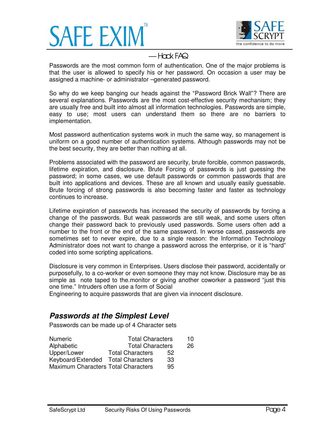



# — Hack FAQ

Passwords are the most common form of authentication. One of the major problems is that the user is allowed to specify his or her password. On occasion a user may be assigned a machine- or administrator –generated password.

So why do we keep banging our heads against the "Password Brick Wall"? There are several explanations. Passwords are the most cost-effective security mechanism; they are usually free and built into almost all information technologies. Passwords are simple, easy to use; most users can understand them so there are no barriers to implementation.

Most password authentication systems work in much the same way, so management is uniform on a good number of authentication systems. Although passwords may not be the best security, they are better than nothing at all.

Problems associated with the password are security, brute forcible, common passwords, lifetime expiration, and disclosure. Brute Forcing of passwords is just guessing the password; in some cases, we use default passwords or common passwords that are built into applications and devices. These are all known and usually easily guessable. Brute forcing of strong passwords is also becoming faster and faster as technology continues to increase.

Lifetime expiration of passwords has increased the security of passwords by forcing a change of the passwords. But weak passwords are still weak, and some users often change their password back to previously used passwords. Some users often add a number to the front or the end of the same password. In worse cased, passwords are sometimes set to never expire, due to a single reason: the Information Technology Administrator does not want to change a password across the enterprise, or it is "hard" coded into some scripting applications.

Disclosure is very common in Enterprises. Users disclose their password, accidentally or purposefully, to a co-worker or even someone they may not know. Disclosure may be as simple as note taped to the.monitor or giving another coworker a password "just this one time." Intruders often use a form of Social

Engineering to acquire passwords that are given via innocent disclosure.

## *Passwords at the Simplest Level*

Passwords can be made up of 4 Character sets

| <b>Numeric</b>                      | <b>Total Characters</b> |    | 10 |
|-------------------------------------|-------------------------|----|----|
| Alphabetic                          | <b>Total Characters</b> |    | 26 |
| Upper/Lower                         | <b>Total Characters</b> | 52 |    |
| Keyboard/Extended Total Characters  |                         | 33 |    |
| Maximum Characters Total Characters |                         | 95 |    |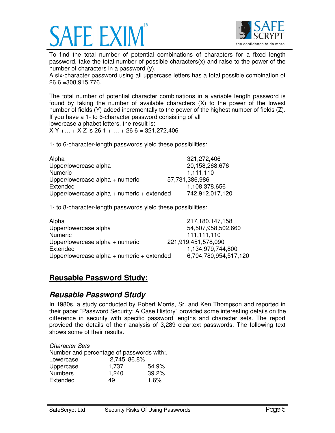



To find the total number of potential combinations of characters for a fixed length password, take the total number of possible characters(x) and raise to the power of the number of characters in a password (y).

A six-character password using all uppercase letters has a total possible combination of 26 6 =308,915,776.

The total number of potential character combinations in a variable length password is found by taking the number of available characters (X) to the power of the lowest number of fields (Y) added incrementally to the power of the highest number of fields (Z). If you have a 1- to 6-character password consisting of all lowercase alphabet letters, the result is:

 $X Y + ... + X Z$  is 26 1 +  $... + 266 = 321,272,406$ 

1- to 6-character-length passwords yield these possibilities:

| Alpha                                          | 321,272,406     |
|------------------------------------------------|-----------------|
| Upper/lowercase alpha                          | 20,158,268,676  |
| <b>Numeric</b>                                 | 1,111,110       |
| Upper/lowercase alpha + numeric                | 57,731,386,986  |
| Extended                                       | 1,108,378,656   |
| Upper/lowercase alpha $+$ numeric $+$ extended | 742,912,017,120 |

1- to 8-character-length passwords yield these possibilities:

| Alpha                                          | 217,180,147,158       |
|------------------------------------------------|-----------------------|
| Upper/lowercase alpha                          | 54,507,958,502,660    |
| <b>Numeric</b>                                 | 111,111,110           |
| Upper/lowercase alpha + numeric                | 221,919,451,578,090   |
| Extended                                       | 1,134,979,744,800     |
| Upper/lowercase alpha $+$ numeric $+$ extended | 6,704,780,954,517,120 |

# **Reusable Password Study:**

#### *Reusable Password Study*

In 1980s, a study conducted by Robert Morris, Sr. and Ken Thompson and reported in their paper "Password Security: A Case History" provided some interesting details on the difference in security with specific password lengths and character sets. The report provided the details of their analysis of 3,289 cleartext passwords. The following text shows some of their results.

| <b>Character Sets</b>                     |             |       |
|-------------------------------------------|-------------|-------|
| Number and percentage of passwords with:. |             |       |
| Lowercase                                 | 2.745 86.8% |       |
| Uppercase                                 | 1,737       | 54.9% |
| <b>Numbers</b>                            | 1,240       | 39.2% |
| Extended                                  | 49          | 1.6%  |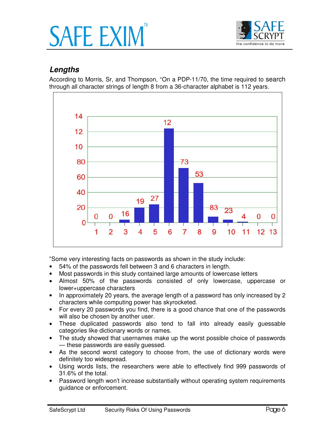



# *Lengths*

According to Morris, Sr, and Thompson, "On a PDP-11/70, the time required to search through all character strings of length 8 from a 36-character alphabet is 112 years.



"Some very interesting facts on passwords as shown in the study include:

- 54% of the passwords fell between 3 and 6 characters in length.
- Most passwords in this study contained large amounts of lowercase letters
- Almost 50% of the passwords consisted of only lowercase, uppercase or lower+uppercase characters
- In approximately 20 years, the average length of a password has only increased by 2 characters while computing power has skyrocketed.
- For every 20 passwords you find, there is a good chance that one of the passwords will also be chosen by another user.
- These duplicated passwords also tend to fall into already easily guessable categories like dictionary words or names.
- The study showed that usernames make up the worst possible choice of passwords — these passwords are easily guessed.
- As the second worst category to choose from, the use of dictionary words were definitely too widespread.
- Using words lists, the researchers were able to effectively find 999 passwords of 31.6% of the total.
- Password length won't increase substantially without operating system requirements guidance or enforcement.